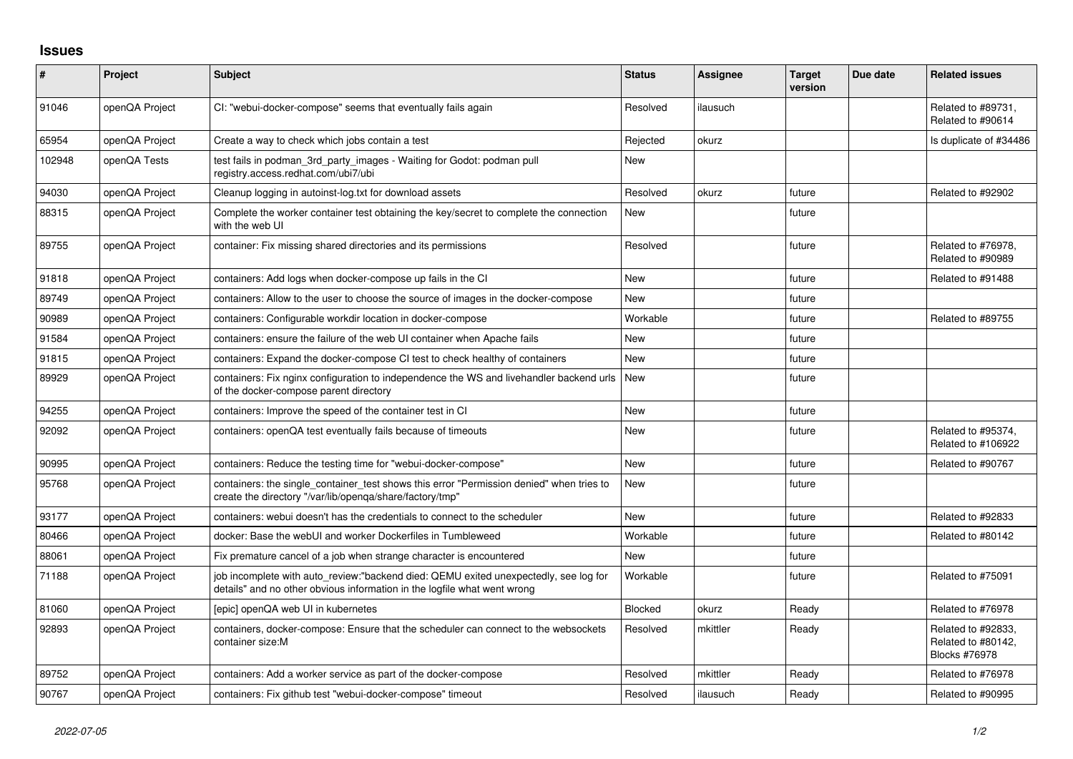## **Issues**

| #      | Project        | Subject                                                                                                                                                          | <b>Status</b> | <b>Assignee</b> | <b>Target</b><br>version | Due date | <b>Related issues</b>                                     |
|--------|----------------|------------------------------------------------------------------------------------------------------------------------------------------------------------------|---------------|-----------------|--------------------------|----------|-----------------------------------------------------------|
| 91046  | openQA Project | CI: "webui-docker-compose" seems that eventually fails again                                                                                                     | Resolved      | ilausuch        |                          |          | Related to #89731,<br>Related to #90614                   |
| 65954  | openQA Project | Create a way to check which jobs contain a test                                                                                                                  | Rejected      | okurz           |                          |          | Is duplicate of #34486                                    |
| 102948 | openQA Tests   | test fails in podman 3rd party images - Waiting for Godot: podman pull<br>registry.access.redhat.com/ubi7/ubi                                                    | New           |                 |                          |          |                                                           |
| 94030  | openQA Project | Cleanup logging in autoinst-log.txt for download assets                                                                                                          | Resolved      | okurz           | future                   |          | Related to #92902                                         |
| 88315  | openQA Project | Complete the worker container test obtaining the key/secret to complete the connection<br>with the web UI                                                        | <b>New</b>    |                 | future                   |          |                                                           |
| 89755  | openQA Project | container: Fix missing shared directories and its permissions                                                                                                    | Resolved      |                 | future                   |          | Related to #76978,<br>Related to #90989                   |
| 91818  | openQA Project | containers: Add logs when docker-compose up fails in the CI                                                                                                      | <b>New</b>    |                 | future                   |          | Related to #91488                                         |
| 89749  | openQA Project | containers: Allow to the user to choose the source of images in the docker-compose                                                                               | <b>New</b>    |                 | future                   |          |                                                           |
| 90989  | openQA Project | containers: Configurable workdir location in docker-compose                                                                                                      | Workable      |                 | future                   |          | Related to #89755                                         |
| 91584  | openQA Project | containers: ensure the failure of the web UI container when Apache fails                                                                                         | New           |                 | future                   |          |                                                           |
| 91815  | openQA Project | containers: Expand the docker-compose CI test to check healthy of containers                                                                                     | <b>New</b>    |                 | future                   |          |                                                           |
| 89929  | openQA Project | containers: Fix nginx configuration to independence the WS and livehandler backend urls<br>of the docker-compose parent directory                                | <b>New</b>    |                 | future                   |          |                                                           |
| 94255  | openQA Project | containers: Improve the speed of the container test in CI                                                                                                        | <b>New</b>    |                 | future                   |          |                                                           |
| 92092  | openQA Project | containers: openQA test eventually fails because of timeouts                                                                                                     | <b>New</b>    |                 | future                   |          | Related to #95374,<br>Related to #106922                  |
| 90995  | openQA Project | containers: Reduce the testing time for "webui-docker-compose"                                                                                                   | <b>New</b>    |                 | future                   |          | Related to #90767                                         |
| 95768  | openQA Project | containers: the single_container_test shows this error "Permission denied" when tries to<br>create the directory "/var/lib/openqa/share/factory/tmp"             | New           |                 | future                   |          |                                                           |
| 93177  | openQA Project | containers: webui doesn't has the credentials to connect to the scheduler                                                                                        | <b>New</b>    |                 | future                   |          | Related to #92833                                         |
| 80466  | openQA Project | docker: Base the webUI and worker Dockerfiles in Tumbleweed                                                                                                      | Workable      |                 | future                   |          | Related to #80142                                         |
| 88061  | openQA Project | Fix premature cancel of a job when strange character is encountered                                                                                              | <b>New</b>    |                 | future                   |          |                                                           |
| 71188  | openQA Project | job incomplete with auto_review:"backend died: QEMU exited unexpectedly, see log for<br>details" and no other obvious information in the logfile what went wrong | Workable      |                 | future                   |          | Related to #75091                                         |
| 81060  | openQA Project | [epic] openQA web UI in kubernetes                                                                                                                               | Blocked       | okurz           | Ready                    |          | Related to #76978                                         |
| 92893  | openQA Project | containers, docker-compose: Ensure that the scheduler can connect to the websockets<br>container size:M                                                          | Resolved      | mkittler        | Ready                    |          | Related to #92833,<br>Related to #80142,<br>Blocks #76978 |
| 89752  | openQA Project | containers: Add a worker service as part of the docker-compose                                                                                                   | Resolved      | mkittler        | Ready                    |          | Related to #76978                                         |
| 90767  | openQA Project | containers: Fix github test "webui-docker-compose" timeout                                                                                                       | Resolved      | ilausuch        | Ready                    |          | Related to #90995                                         |